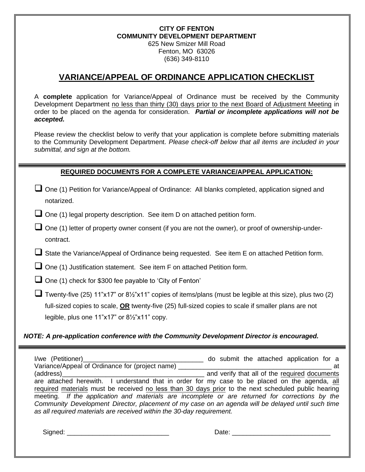#### **CITY OF FENTON COMMUNITY DEVELOPMENT DEPARTMENT** 625 New Smizer Mill Road Fenton, MO 63026 (636) 349-8110

## **VARIANCE/APPEAL OF ORDINANCE APPLICATION CHECKLIST**

A **complete** application for Variance/Appeal of Ordinance must be received by the Community Development Department no less than thirty (30) days prior to the next Board of Adjustment Meeting in order to be placed on the agenda for consideration. *Partial or incomplete applications will not be accepted.* 

Please review the checklist below to verify that your application is complete before submitting materials to the Community Development Department. *Please check-off below that all items are included in your submittal, and sign at the bottom.*

### **REQUIRED DOCUMENTS FOR A COMPLETE VARIANCE/APPEAL APPLICATION:**

- ❑ One (1) Petition for Variance/Appeal of Ordinance: All blanks completed, application signed and notarized.
- ❑ One (1) legal property description. See item D on attached petition form.
- ❑ One (1) letter of property owner consent (if you are not the owner), or proof of ownership-undercontract.
- State the Variance/Appeal of Ordinance being requested. See item E on attached Petition form.
- ❑ One (1) Justification statement. See item F on attached Petition form.
- ❑ One (1) check for \$300 fee payable to 'City of Fenton'
- ❑ Twenty-five (25) 11"x17" or 8½"x11" copies of items/plans (must be legible at this size), plus two (2) full-sized copies to scale, **OR** twenty-five (25) full-sized copies to scale if smaller plans are not legible, plus one 11"x17" or 8½"x11" copy.

#### *NOTE: A pre-application conference with the Community Development Director is encouraged.*

I/we (Petitioner)\_\_\_\_\_\_\_\_\_\_\_\_\_\_\_\_\_\_\_\_\_\_\_\_\_\_\_\_\_\_\_\_\_ do submit the attached application for a Variance/Appeal of Ordinance for (project name)  $\blacksquare$ (address)  $\qquad \qquad$  and verify that all of the required documents are attached herewith. I understand that in order for my case to be placed on the agenda, all required materials must be received no less than 30 days prior to the next scheduled public hearing meeting. *If the application and materials are incomplete or are returned for corrections by the Community Development Director, placement of my case on an agenda will be delayed until such time as all required materials are received within the 30-day requirement.*

Signed: \_\_\_\_\_\_\_\_\_\_\_\_\_\_\_\_\_\_\_\_\_\_\_\_\_\_\_\_ Date: \_\_\_\_\_\_\_\_\_\_\_\_\_\_\_\_\_\_\_\_\_\_\_\_\_\_\_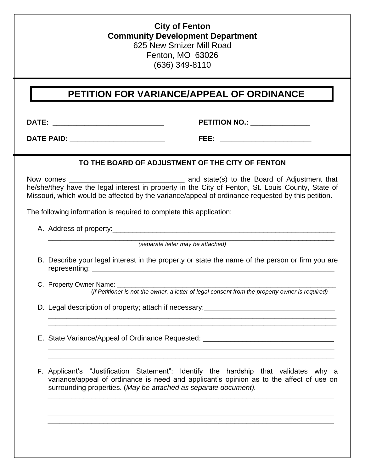## **City of Fenton Community Development Department** 625 New Smizer Mill Road Fenton, MO 63026 (636) 349-8110

## **PETITION FOR VARIANCE/APPEAL OF ORDINANCE**

**DATE: \_\_\_\_\_\_\_\_\_\_\_\_\_\_\_\_\_\_\_\_\_\_\_\_\_\_\_\_ PETITION NO.: \_\_\_\_\_\_\_\_\_\_\_\_\_\_\_**

**DATE PAID: \_\_\_\_\_\_\_\_\_\_\_\_\_\_\_\_\_\_\_\_\_\_\_\_ FEE: \_\_\_\_\_\_\_\_\_\_\_\_\_\_\_\_\_\_\_\_\_\_\_**

### **TO THE BOARD OF ADJUSTMENT OF THE CITY OF FENTON**

Now comes \_\_\_\_\_\_\_\_\_\_\_\_\_\_\_\_\_\_\_\_\_\_\_\_\_\_\_\_\_ and state(s) to the Board of Adjustment that he/she/they have the legal interest in property in the City of Fenton, St. Louis County, State of Missouri, which would be affected by the variance/appeal of ordinance requested by this petition.

The following information is required to complete this application:

A. Address of property:\_\_\_\_\_\_\_\_\_\_\_\_\_\_\_\_\_\_\_\_\_\_\_\_\_\_\_\_\_\_\_\_\_\_\_\_\_\_\_\_\_\_\_\_\_\_\_\_\_\_\_\_\_\_\_\_

\_\_\_\_\_\_\_\_\_\_\_\_\_\_\_\_\_\_\_\_\_\_\_\_\_\_\_\_\_\_\_\_\_\_\_\_\_\_\_\_\_\_\_\_\_\_\_\_\_\_\_\_\_\_\_\_\_\_\_\_\_\_\_\_\_\_\_\_\_\_\_\_ *(separate letter may be attached)*

B. Describe your legal interest in the property or state the name of the person or firm you are representing: entitled the state of the state of the state of the state of the state of the state of the state o

\_\_\_\_\_\_\_\_\_\_\_\_\_\_\_\_\_\_\_\_\_\_\_\_\_\_\_\_\_\_\_\_\_\_\_\_\_\_\_\_\_\_\_\_\_\_\_\_\_\_\_\_\_\_\_\_\_\_\_\_\_\_\_\_\_\_\_\_\_\_\_\_\_\_\_\_\_\_\_ \_\_\_\_\_\_\_\_\_\_\_\_\_\_\_\_\_\_\_\_\_\_\_\_\_\_\_\_\_\_\_\_\_\_\_\_\_\_\_\_\_\_\_\_\_\_\_\_\_\_\_\_\_\_\_\_\_\_\_\_\_\_\_\_\_\_\_\_\_\_\_\_\_\_\_\_\_\_\_

\_\_\_\_\_\_\_\_\_\_\_\_\_\_\_\_\_\_\_\_\_\_\_\_\_\_\_\_\_\_\_\_\_\_\_\_\_\_\_\_\_\_\_\_\_\_\_\_\_\_\_\_\_\_\_\_\_\_\_\_\_\_\_\_\_\_\_\_\_\_\_\_ \_\_\_\_\_\_\_\_\_\_\_\_\_\_\_\_\_\_\_\_\_\_\_\_\_\_\_\_\_\_\_\_\_\_\_\_\_\_\_\_\_\_\_\_\_\_\_\_\_\_\_\_\_\_\_\_\_\_\_\_\_\_\_\_\_\_\_\_\_\_\_\_

- C. Property Owner Name: (*if Petitioner is not the owner, a letter of legal consent from the property owner is required)*
- D. Legal description of property; attach if necessary: \_\_\_\_\_\_\_\_\_\_\_\_\_\_\_\_\_\_\_\_\_\_\_\_\_\_
- E. State Variance/Appeal of Ordinance Requested:  $\blacksquare$

F. Applicant's "Justification Statement": Identify the hardship that validates why a variance/appeal of ordinance is need and applicant's opinion as to the affect of use on surrounding properties. (*May be attached as separate document).*

*\_\_\_\_\_\_\_\_\_\_\_\_\_\_\_\_\_\_\_\_\_\_\_\_\_\_\_\_\_\_\_\_\_\_\_\_\_\_\_\_\_\_\_\_\_\_\_\_\_\_\_\_\_\_\_\_\_\_\_\_\_\_\_\_\_\_\_\_\_\_\_\_ \_\_\_\_\_\_\_\_\_\_\_\_\_\_\_\_\_\_\_\_\_\_\_\_\_\_\_\_\_\_\_\_\_\_\_\_\_\_\_\_\_\_\_\_\_\_\_\_\_\_\_\_\_\_\_\_\_\_\_\_\_\_\_\_\_\_\_\_\_\_\_\_ \_\_\_\_\_\_\_\_\_\_\_\_\_\_\_\_\_\_\_\_\_\_\_\_\_\_\_\_\_\_\_\_\_\_\_\_\_\_\_\_\_\_\_\_\_\_\_\_\_\_\_\_\_\_\_\_\_\_\_\_\_\_\_\_\_\_\_\_\_\_\_\_ \_\_\_\_\_\_\_\_\_\_\_\_\_\_\_\_\_\_\_\_\_\_\_\_\_\_\_\_\_\_\_\_\_\_\_\_\_\_\_\_\_\_\_\_\_\_\_\_\_\_\_\_\_\_\_\_\_\_\_\_\_\_\_\_\_\_\_\_\_\_\_\_*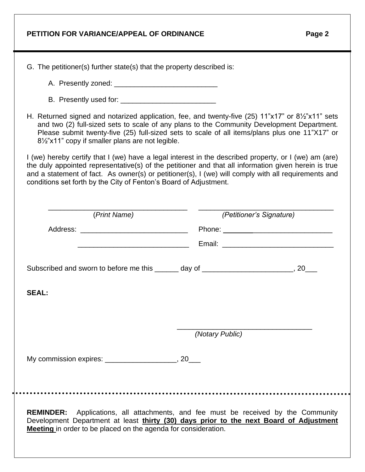| PETITION FOR VARIANCE/APPEAL OF ORDINANCE | Page 2 |
|-------------------------------------------|--------|
|-------------------------------------------|--------|

 $\ddot{\phantom{a}}$ 

| G. The petitioner(s) further state(s) that the property described is:                                                                                                                                                                                                                                                                                                                     |                          |  |
|-------------------------------------------------------------------------------------------------------------------------------------------------------------------------------------------------------------------------------------------------------------------------------------------------------------------------------------------------------------------------------------------|--------------------------|--|
|                                                                                                                                                                                                                                                                                                                                                                                           |                          |  |
|                                                                                                                                                                                                                                                                                                                                                                                           |                          |  |
| H. Returned signed and notarized application, fee, and twenty-five (25) 11"x17" or 81/2"x11" sets                                                                                                                                                                                                                                                                                         |                          |  |
| and two (2) full-sized sets to scale of any plans to the Community Development Department.<br>Please submit twenty-five (25) full-sized sets to scale of all items/plans plus one 11"X17" or<br>8½"x11" copy if smaller plans are not legible.                                                                                                                                            |                          |  |
| I (we) hereby certify that I (we) have a legal interest in the described property, or I (we) am (are)<br>the duly appointed representative(s) of the petitioner and that all information given herein is true<br>and a statement of fact. As owner(s) or petitioner(s), I (we) will comply with all requirements and<br>conditions set forth by the City of Fenton's Board of Adjustment. |                          |  |
| (Print Name)                                                                                                                                                                                                                                                                                                                                                                              | (Petitioner's Signature) |  |
|                                                                                                                                                                                                                                                                                                                                                                                           |                          |  |
|                                                                                                                                                                                                                                                                                                                                                                                           |                          |  |
| Subscribed and sworn to before me this ______ day of _________________________, 20___                                                                                                                                                                                                                                                                                                     |                          |  |
| <b>SEAL:</b>                                                                                                                                                                                                                                                                                                                                                                              |                          |  |
|                                                                                                                                                                                                                                                                                                                                                                                           |                          |  |
|                                                                                                                                                                                                                                                                                                                                                                                           |                          |  |
|                                                                                                                                                                                                                                                                                                                                                                                           | (Notary Public)          |  |
| My commission expires: _______________________, 20___                                                                                                                                                                                                                                                                                                                                     |                          |  |
|                                                                                                                                                                                                                                                                                                                                                                                           |                          |  |
|                                                                                                                                                                                                                                                                                                                                                                                           |                          |  |
| Applications, all attachments, and fee must be received by the Community<br><b>REMINDER:</b><br>Development Department at least thirty (30) days prior to the next Board of Adjustment<br>Meeting in order to be placed on the agenda for consideration.                                                                                                                                  |                          |  |
|                                                                                                                                                                                                                                                                                                                                                                                           |                          |  |